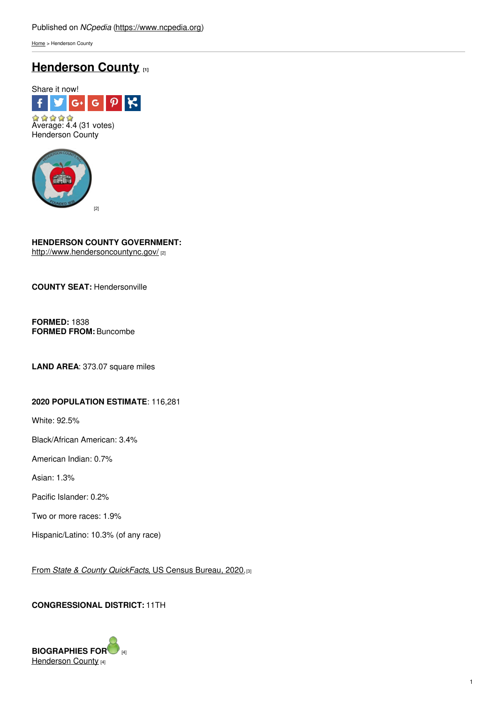[Home](https://www.ncpedia.org/) > Henderson County

# **[Henderson](https://www.ncpedia.org/geography/henderson) County [1]**





## **HENDERSON COUNTY GOVERNMENT:**

<http://www.hendersoncountync.gov/> [2]

**COUNTY SEAT:** Hendersonville

**FORMED:** 1838 **FORMED FROM:** Buncombe

**LAND AREA**: 373.07 square miles

## **2020 POPULATION ESTIMATE**: 116,281

White: 92.5%

Black/African American: 3.4%

American Indian: 0.7%

Asian: 1.3%

Pacific Islander: 0.2%

Two or more races: 1.9%

Hispanic/Latino: 10.3% (of any race)

From *State & County [QuickFacts](https://www.census.gov/quickfacts/fact/table/hendersoncountynorthcarolina/POP010220)*, US Census Bureau, 2020.[3]

## **CONGRESSIONAL DISTRICT:** 11TH

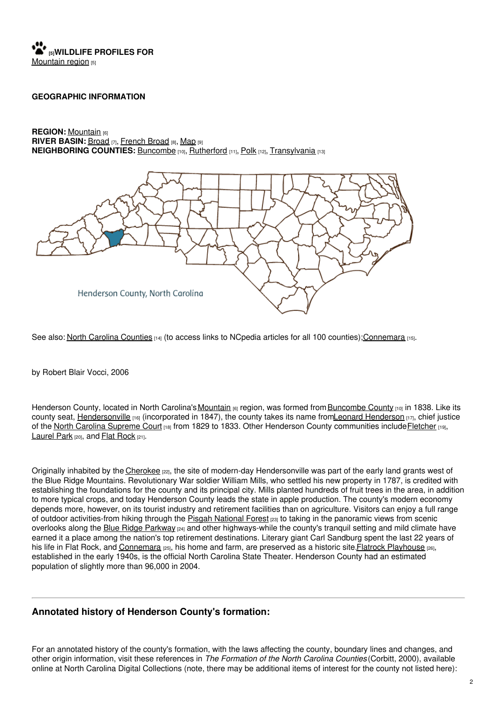

#### **GEOGRAPHIC INFORMATION**

**REGION:** [Mountain](https://www.ncpedia.org/our-state-geography-snap-mountain) [6] **RIVER BASIN:** [Broad](https://files.nc.gov/deqee/documents/files/broad.pdf) [7], [French](https://files.nc.gov/deqee/documents/files/french-broad-river-basin_0.pdf) Broad [8], [Map](https://ncdenr.maps.arcgis.com/apps/PublicInformation/index.html?appid=f82f583438e74bf29adcc76247381eee) [9] **NEIGHBORING COUNTIES:** [Buncombe](https://www.ncpedia.org/geography/buncombe) [10], [Rutherford](https://www.ncpedia.org/geography/rutherford) [11], [Polk](https://www.ncpedia.org/geography/polk) [12], [Transylvania](https://www.ncpedia.org/geography/transylvania) [13]



See also: North Carolina [Counties](https://www.ncpedia.org/geography/counties) [14] (to access links to NCpedia articles for all 100 counties)[;Connemara](https://ncpedia.org/connemara) [15].

by Robert Blair Vocci, 2006

Henderson County, located in North Carolina's [Mountain](https://www.ncpedia.org/our-state-geography-snap-mountain) [6] region, was formed from [Buncombe](https://www.ncpedia.org/geography/buncombe) County [10] in 1838. Like its county seat. [Hendersonville](https://www.hendersonvillenc.gov/)  $_{16}$  (incorporated in 1847), the county takes its name fromLeonard [Henderson](https://www.ncpedia.org/biography/henderson-leonard)  $_{17}$ , chief justice of the North Carolina [Supreme](https://www.ncpedia.org/supreme-court-north-carolina) Court [18] from 1829 to 1833. Other Henderson County communities include [Fletcher](https://www.fletchernc.org/) [19], [Laurel](http://www.laurelpark.org/) Park [20], and Flat [Rock](http://www.villageofflatrock.org/) [21].

Originally inhabited by the [Cherokee](https://www.ncpedia.org/cherokee/overview) [22], the site of modern-day Hendersonville was part of the early land grants west of the Blue Ridge Mountains. Revolutionary War soldier William Mills, who settled his new property in 1787, is credited with establishing the foundations for the county and its principal city. Mills planted hundreds of fruit trees in the area, in addition to more typical crops, and today Henderson County leads the state in apple production. The county's modern economy depends more, however, on its tourist industry and retirement facilities than on agriculture. Visitors can enjoy a full range of outdoor activities-from hiking through the Pisgah [National](https://www.ncpedia.org/pisgah-national-forest) Forest [23] to taking in the panoramic views from scenic overlooks along the Blue Ridge [Parkway](https://www.ncpedia.org/blue-ridge-parkway) [24] and other highways-while the county's tranquil setting and mild climate have earned it a place among the nation's top retirement destinations. Literary giant Carl Sandburg spent the last 22 years of his life in Flat Rock, and [Connemara](https://www.ncpedia.org/connemara) [25], his home and farm, are preserved as a historic site. Flatrock [Playhouse](https://www.flatrockplayhouse.org/about) [26], established in the early 1940s, is the official North Carolina State Theater. Henderson County had an estimated population of slightly more than 96,000 in 2004.

## **Annotated history of Henderson County's formation:**

For an annotated history of the county's formation, with the laws affecting the county, boundary lines and changes, and other origin information, visit these references in *The Formation of the North Carolina Counties* (Corbitt, 2000), available online at North Carolina Digital Collections (note, there may be additional items of interest for the county not listed here):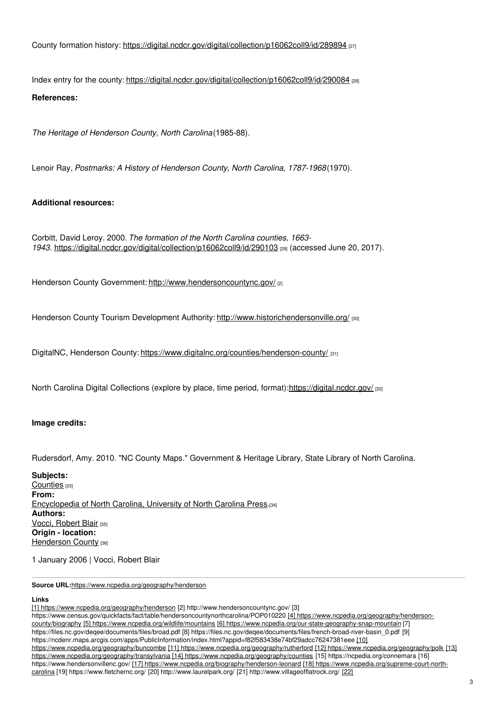County formation history: <https://digital.ncdcr.gov/digital/collection/p16062coll9/id/289894> [27]

Index entry for the county: <https://digital.ncdcr.gov/digital/collection/p16062coll9/id/290084> [28] **References:**

*The Heritage of Henderson County, North Carolina*(1985-88).

Lenoir Ray, *Postmarks: A History of Henderson County, North Carolina, 1787-1968*(1970).

## **Additional resources:**

Corbitt, David Leroy. 2000. *The formation of the North Carolina counties, 1663- 1943*. <https://digital.ncdcr.gov/digital/collection/p16062coll9/id/290103> [29] (accessed June 20, 2017).

Henderson County Government: <http://www.hendersoncountync.gov/> [2]

Henderson County Tourism Development Authority: <http://www.historichendersonville.org/> [30]

DigitalNC, Henderson County: <https://www.digitalnc.org/counties/henderson-county/> [31]

North Carolina Digital Collections (explore by place, time period, format):<https://digital.ncdcr.gov/> [32]

### **Image credits:**

Rudersdorf, Amy. 2010. "NC County Maps." Government & Heritage Library, State Library of North Carolina.

**Subjects:** [Counties](https://www.ncpedia.org/category/subjects/counties) [33] **From:** [Encyclopedia](https://www.ncpedia.org/category/entry-source/encyclopedia-) of North Carolina, University of North Carolina Press.[34] **Authors: Vocci, [Robert](https://www.ncpedia.org/category/authors/vocci-robert-blair) Blair** [35] **Origin - location:** [Henderson](https://www.ncpedia.org/category/origin-location/mountain-7) County [36]

1 January 2006 | Vocci, Robert Blair

**Source URL:**<https://www.ncpedia.org/geography/henderson>

#### **Links**

[1] <https://www.ncpedia.org/geography/henderson> [2] http://www.hendersoncountync.gov/ [3]

[https://www.census.gov/quickfacts/fact/table/hendersoncountynorthcarolina/POP010220](https://www.ncpedia.org/geography/henderson-county/biography) [4] https://www.ncpedia.org/geography/hendersoncounty/biography [5] <https://www.ncpedia.org/wildlife/mountains> [6] <https://www.ncpedia.org/our-state-geography-snap-mountain> [7] https://files.nc.gov/deqee/documents/files/broad.pdf [8] https://files.nc.gov/deqee/documents/files/french-broad-river-basin\_0.pdf [9] [https://ncdenr.maps.arcgis.com/apps/PublicInformation/index.html?appid=f82f583438e74bf29adcc76247381eee](https://www.ncpedia.org/geography/buncombe) [10] [https://www.ncpedia.org/geography/buncombe](https://www.ncpedia.org/geography/transylvania) [11] <https://www.ncpedia.org/geography/rutherford> [12] <https://www.ncpedia.org/geography/polk> [13] https://www.ncpedia.org/geography/transylvania [14] <https://www.ncpedia.org/geography/counties> [15] https://ncpedia.org/connemara [16] https://www.hendersonvillenc.gov/ [17] [https://www.ncpedia.org/biography/henderson-leonard](https://www.ncpedia.org/supreme-court-north-carolina) [18] https://www.ncpedia.org/supreme-court-northcarolina [19] https://www.fletchernc.org/ [20] http://www.laurelpark.org/ [21] [http://www.villageofflatrock.org/](https://www.ncpedia.org/cherokee/overview) [22]